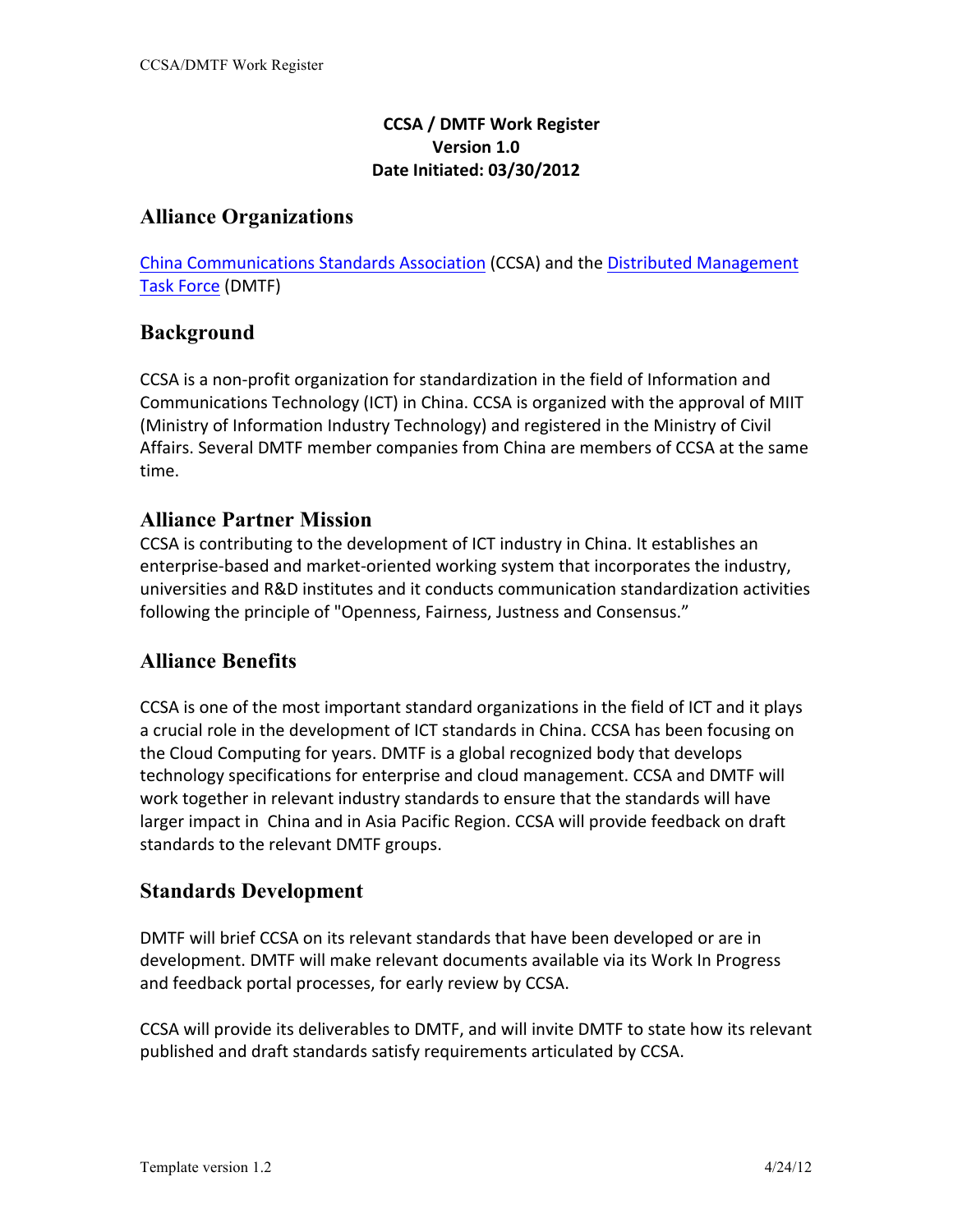#### **CCSA / DMTF Work Register Version 1.0 Date Initiated: 03/30/2012**

## **Alliance Organizations**

China Communications Standards Association (CCSA) and the Distributed Management Task Force (DMTF)

## **Background**

CCSA is a non-profit organization for standardization in the field of Information and Communications Technology (ICT) in China. CCSA is organized with the approval of MIIT (Ministry of Information Industry Technology) and registered in the Ministry of Civil Affairs. Several DMTF member companies from China are members of CCSA at the same time.

## **Alliance Partner Mission**

CCSA is contributing to the development of ICT industry in China. It establishes an enterprise-based and market-oriented working system that incorporates the industry, universities and R&D institutes and it conducts communication standardization activities following the principle of "Openness, Fairness, Justness and Consensus."

# **Alliance Benefits**

CCSA is one of the most important standard organizations in the field of ICT and it plays a crucial role in the development of ICT standards in China. CCSA has been focusing on the Cloud Computing for years. DMTF is a global recognized body that develops technology specifications for enterprise and cloud management. CCSA and DMTF will work together in relevant industry standards to ensure that the standards will have larger impact in China and in Asia Pacific Region. CCSA will provide feedback on draft standards to the relevant DMTF groups.

## **Standards Development**

DMTF will brief CCSA on its relevant standards that have been developed or are in development. DMTF will make relevant documents available via its Work In Progress and feedback portal processes, for early review by CCSA.

CCSA will provide its deliverables to DMTF, and will invite DMTF to state how its relevant published and draft standards satisfy requirements articulated by CCSA.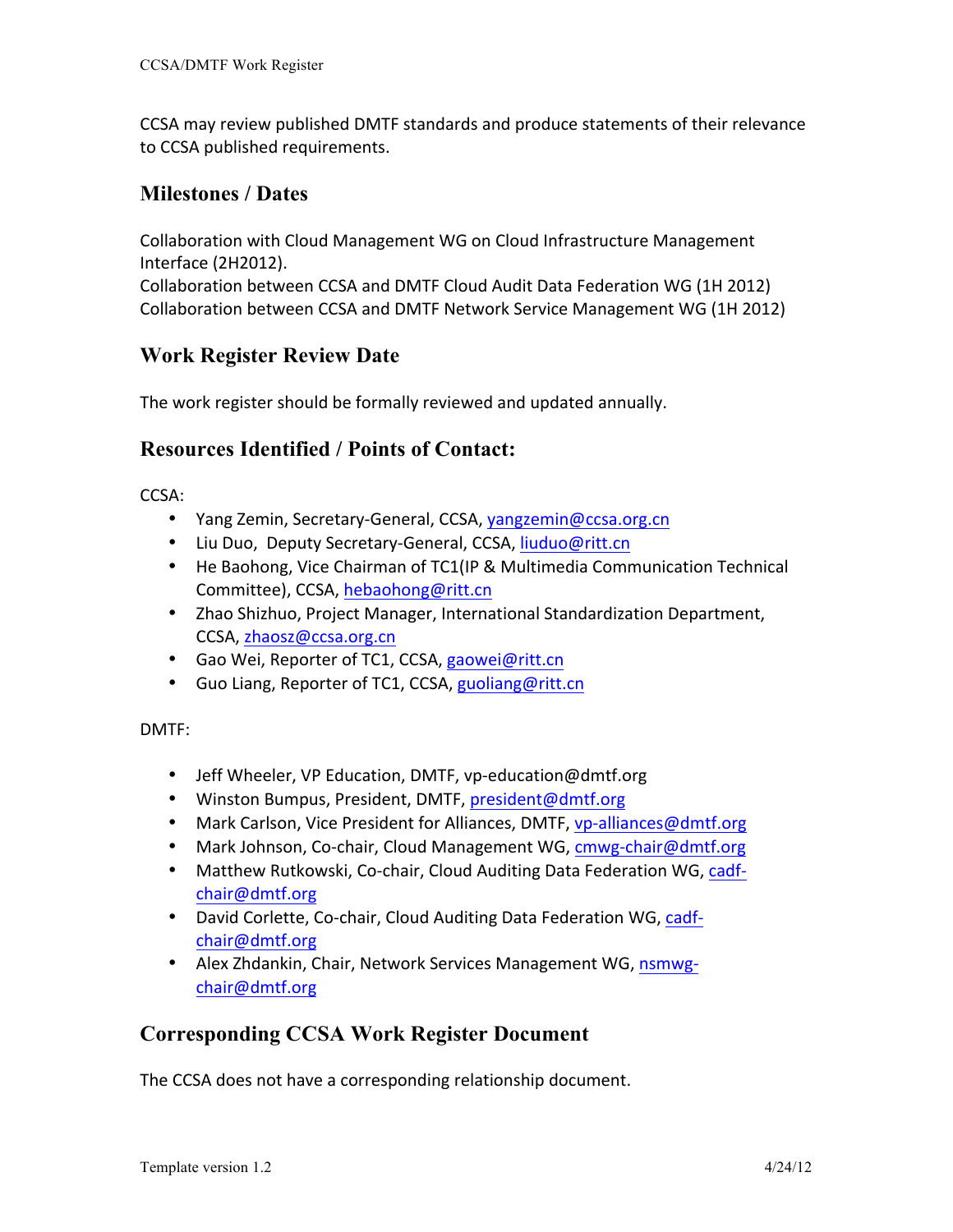CCSA may review published DMTF standards and produce statements of their relevance to CCSA published requirements.

#### **Milestones / Dates**

Collaboration with Cloud Management WG on Cloud Infrastructure Management Interface (2H2012). Collaboration between CCSA and DMTF Cloud Audit Data Federation WG (1H 2012) Collaboration between CCSA and DMTF Network Service Management WG (1H 2012)

## **Work Register Review Date**

The work register should be formally reviewed and updated annually.

#### **Resources Identified / Points of Contact:**

CCSA:

- Yang Zemin, Secretary-General, CCSA, yangzemin@ccsa.org.cn
- Liu Duo, Deputy Secretary-General, CCSA, liuduo@ritt.cn
- He Baohong, Vice Chairman of TC1(IP & Multimedia Communication Technical Committee), CCSA, hebaohong@ritt.cn
- Zhao Shizhuo, Project Manager, International Standardization Department, CCSA, zhaosz@ccsa.org.cn
- Gao Wei, Reporter of TC1, CCSA, gaowei@ritt.cn
- Guo Liang, Reporter of TC1, CCSA, guoliang@ritt.cn

DMTF:

- Jeff Wheeler, VP Education, DMTF, vp-education@dmtf.org
- Winston Bumpus, President, DMTF, president@dmtf.org
- Mark Carlson, Vice President for Alliances, DMTF, vp-alliances@dmtf.org
- Mark Johnson, Co-chair, Cloud Management WG, cmwg-chair@dmtf.org
- Matthew Rutkowski, Co-chair, Cloud Auditing Data Federation WG, cadfchair@dmtf.org
- David Corlette, Co-chair, Cloud Auditing Data Federation WG, cadfchair@dmtf.org
- Alex Zhdankin, Chair, Network Services Management WG, nsmwgchair@dmtf.org

## **Corresponding CCSA Work Register Document**

The CCSA does not have a corresponding relationship document.